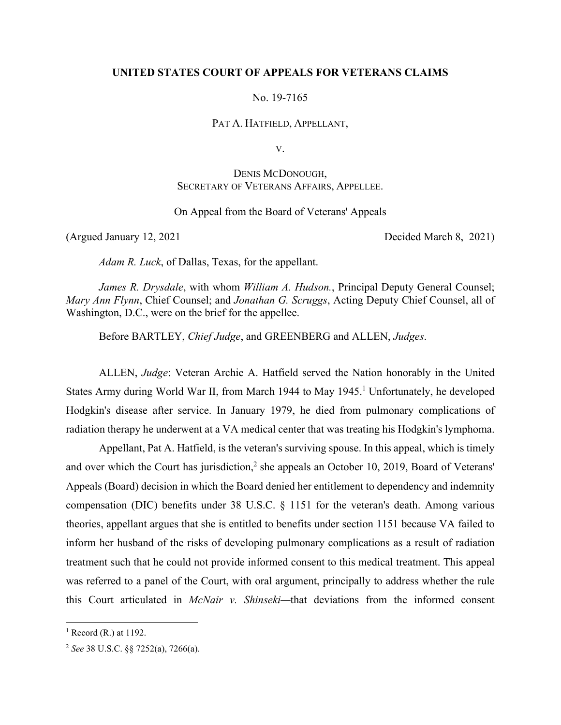#### **UNITED STATES COURT OF APPEALS FOR VETERANS CLAIMS**

No. 19-7165

PAT A. HATFIELD, APPELLANT,

V.

# DENIS MCDONOUGH, SECRETARY OF VETERANS AFFAIRS, APPELLEE.

#### On Appeal from the Board of Veterans' Appeals

(Argued January 12, 2021 Decided March 8, 2021)

*Adam R. Luck*, of Dallas, Texas, for the appellant.

*James R. Drysdale*, with whom *William A. Hudson.*, Principal Deputy General Counsel; *Mary Ann Flynn*, Chief Counsel; and *Jonathan G. Scruggs*, Acting Deputy Chief Counsel, all of Washington, D.C., were on the brief for the appellee.

Before BARTLEY, *Chief Judge*, and GREENBERG and ALLEN, *Judges*.

ALLEN, *Judge*: Veteran Archie A. Hatfield served the Nation honorably in the United States Army during World War II, from March 1944 to May 1945.<sup>1</sup> Unfortunately, he developed Hodgkin's disease after service. In January 1979, he died from pulmonary complications of radiation therapy he underwent at a VA medical center that was treating his Hodgkin's lymphoma.

Appellant, Pat A. Hatfield, is the veteran's surviving spouse. In this appeal, which is timely and over which the Court has jurisdiction,<sup>2</sup> she appeals an October 10, 2019, Board of Veterans' Appeals (Board) decision in which the Board denied her entitlement to dependency and indemnity compensation (DIC) benefits under 38 U.S.C. § 1151 for the veteran's death. Among various theories, appellant argues that she is entitled to benefits under section 1151 because VA failed to inform her husband of the risks of developing pulmonary complications as a result of radiation treatment such that he could not provide informed consent to this medical treatment. This appeal was referred to a panel of the Court, with oral argument, principally to address whether the rule this Court articulated in *McNair v. Shinseki—*that deviations from the informed consent

 $<sup>1</sup>$  Record (R.) at 1192.</sup>

<sup>2</sup> *See* 38 U.S.C. §§ 7252(a), 7266(a).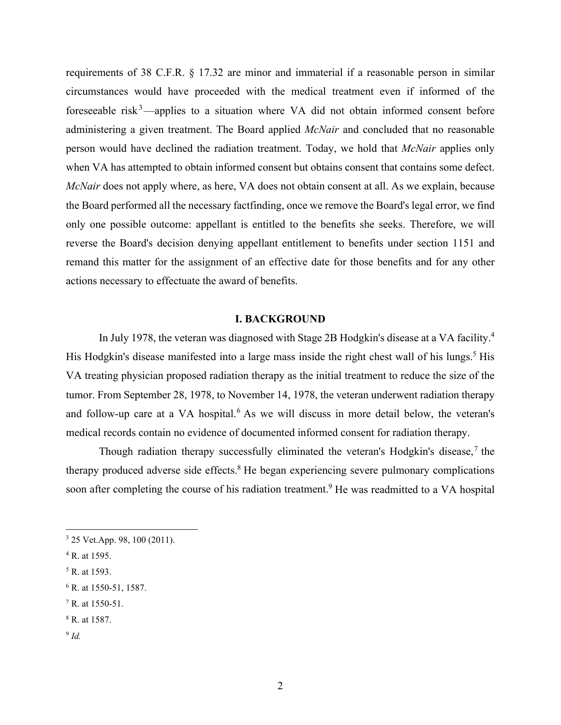requirements of 38 C.F.R. § 17.32 are minor and immaterial if a reasonable person in similar circumstances would have proceeded with the medical treatment even if informed of the foreseeable risk<sup>3</sup>—applies to a situation where VA did not obtain informed consent before administering a given treatment. The Board applied *McNair* and concluded that no reasonable person would have declined the radiation treatment. Today, we hold that *McNair* applies only when VA has attempted to obtain informed consent but obtains consent that contains some defect. *McNair* does not apply where, as here, VA does not obtain consent at all. As we explain, because the Board performed all the necessary factfinding, once we remove the Board's legal error, we find only one possible outcome: appellant is entitled to the benefits she seeks. Therefore, we will reverse the Board's decision denying appellant entitlement to benefits under section 1151 and remand this matter for the assignment of an effective date for those benefits and for any other actions necessary to effectuate the award of benefits.

#### **I. BACKGROUND**

In July 1978, the veteran was diagnosed with Stage 2B Hodgkin's disease at a VA facility.<sup>4</sup> His Hodgkin's disease manifested into a large mass inside the right chest wall of his lungs.<sup>5</sup> His VA treating physician proposed radiation therapy as the initial treatment to reduce the size of the tumor. From September 28, 1978, to November 14, 1978, the veteran underwent radiation therapy and follow-up care at a VA hospital.<sup>6</sup> As we will discuss in more detail below, the veteran's medical records contain no evidence of documented informed consent for radiation therapy.

Though radiation therapy successfully eliminated the veteran's Hodgkin's disease,<sup>7</sup> the therapy produced adverse side effects.<sup>8</sup> He began experiencing severe pulmonary complications soon after completing the course of his radiation treatment.<sup>9</sup> He was readmitted to a VA hospital

7 R. at 1550-51.

<sup>9</sup> *Id.* 

<sup>3</sup> 25 Vet.App. 98, 100 (2011).

<sup>4</sup> R. at 1595.

<sup>5</sup> R. at 1593.

<sup>6</sup> R. at 1550-51, 1587.

<sup>8</sup> R. at 1587.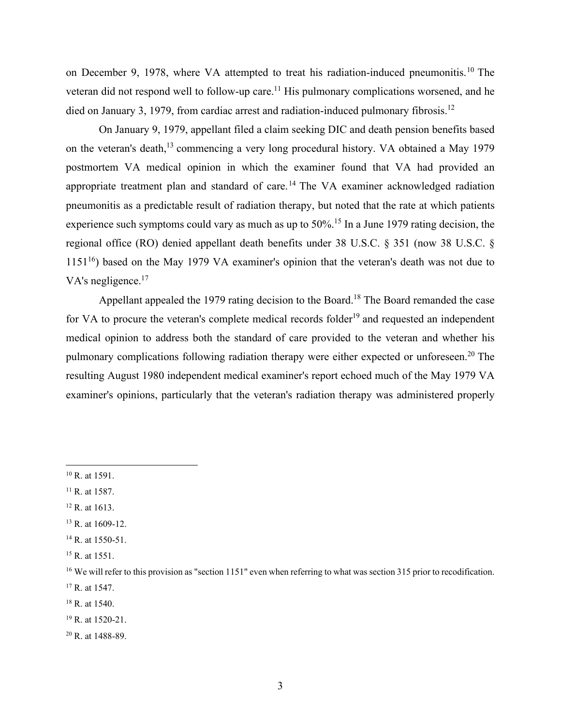on December 9, 1978, where VA attempted to treat his radiation-induced pneumonitis.<sup>10</sup> The veteran did not respond well to follow-up care.<sup>11</sup> His pulmonary complications worsened, and he died on January 3, 1979, from cardiac arrest and radiation-induced pulmonary fibrosis.<sup>12</sup>

On January 9, 1979, appellant filed a claim seeking DIC and death pension benefits based on the veteran's death,<sup>13</sup> commencing a very long procedural history. VA obtained a May 1979 postmortem VA medical opinion in which the examiner found that VA had provided an appropriate treatment plan and standard of care.<sup>14</sup> The VA examiner acknowledged radiation pneumonitis as a predictable result of radiation therapy, but noted that the rate at which patients experience such symptoms could vary as much as up to 50%.<sup>15</sup> In a June 1979 rating decision, the regional office (RO) denied appellant death benefits under 38 U.S.C. § 351 (now 38 U.S.C. §  $1151^{16}$ ) based on the May 1979 VA examiner's opinion that the veteran's death was not due to VA's negligence.<sup>17</sup>

Appellant appealed the 1979 rating decision to the Board.<sup>18</sup> The Board remanded the case for VA to procure the veteran's complete medical records folder<sup>19</sup> and requested an independent medical opinion to address both the standard of care provided to the veteran and whether his pulmonary complications following radiation therapy were either expected or unforeseen.20 The resulting August 1980 independent medical examiner's report echoed much of the May 1979 VA examiner's opinions, particularly that the veteran's radiation therapy was administered properly

- <sup>13</sup> R. at 1609-12.
- <sup>14</sup> R. at 1550-51.
- <sup>15</sup> R. at 1551.

18 R. at 1540.

20 R. at 1488-89.

 $10$  R. at 1591.

 $11$  R. at 1587.

<sup>12</sup> R. at 1613.

<sup>&</sup>lt;sup>16</sup> We will refer to this provision as "section 1151" even when referring to what was section 315 prior to recodification. 17 R. at 1547.

<sup>19</sup> R. at 1520-21.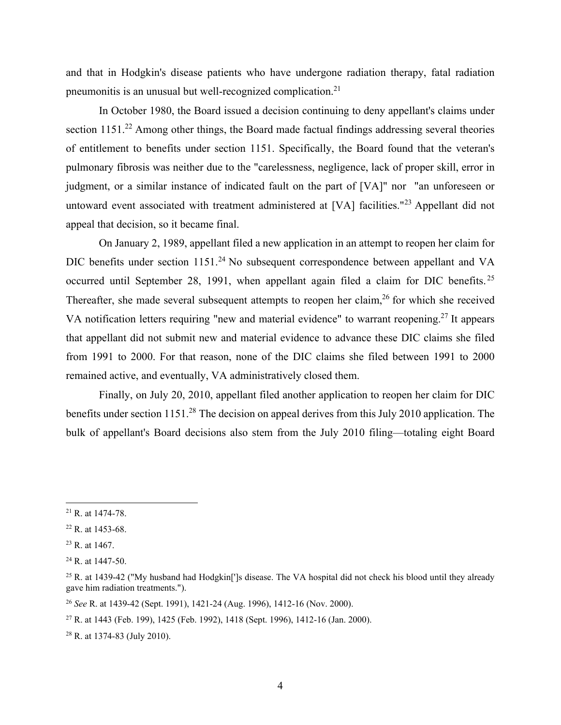and that in Hodgkin's disease patients who have undergone radiation therapy, fatal radiation pneumonitis is an unusual but well-recognized complication.21

In October 1980, the Board issued a decision continuing to deny appellant's claims under section 1151.<sup>22</sup> Among other things, the Board made factual findings addressing several theories of entitlement to benefits under section 1151. Specifically, the Board found that the veteran's pulmonary fibrosis was neither due to the "carelessness, negligence, lack of proper skill, error in judgment, or a similar instance of indicated fault on the part of [VA]" nor "an unforeseen or untoward event associated with treatment administered at [VA] facilities."<sup>23</sup> Appellant did not appeal that decision, so it became final.

On January 2, 1989, appellant filed a new application in an attempt to reopen her claim for DIC benefits under section 1151.<sup>24</sup> No subsequent correspondence between appellant and VA occurred until September 28, 1991, when appellant again filed a claim for DIC benefits. <sup>25</sup> Thereafter, she made several subsequent attempts to reopen her claim,  $26$  for which she received VA notification letters requiring "new and material evidence" to warrant reopening.<sup>27</sup> It appears that appellant did not submit new and material evidence to advance these DIC claims she filed from 1991 to 2000. For that reason, none of the DIC claims she filed between 1991 to 2000 remained active, and eventually, VA administratively closed them.

Finally, on July 20, 2010, appellant filed another application to reopen her claim for DIC benefits under section 1151.<sup>28</sup> The decision on appeal derives from this July 2010 application. The bulk of appellant's Board decisions also stem from the July 2010 filing—totaling eight Board

<sup>21</sup> R. at 1474-78.

<sup>22</sup> R. at 1453-68.

<sup>23</sup> R. at 1467.

<sup>24</sup> R. at 1447-50.

 $^{25}$  R. at 1439-42 ("My husband had Hodgkin[']s disease. The VA hospital did not check his blood until they already gave him radiation treatments.").

<sup>26</sup> *See* R. at 1439-42 (Sept. 1991), 1421-24 (Aug. 1996), 1412-16 (Nov. 2000).

<sup>27</sup> R. at 1443 (Feb. 199), 1425 (Feb. 1992), 1418 (Sept. 1996), 1412-16 (Jan. 2000).

<sup>28</sup> R. at 1374-83 (July 2010).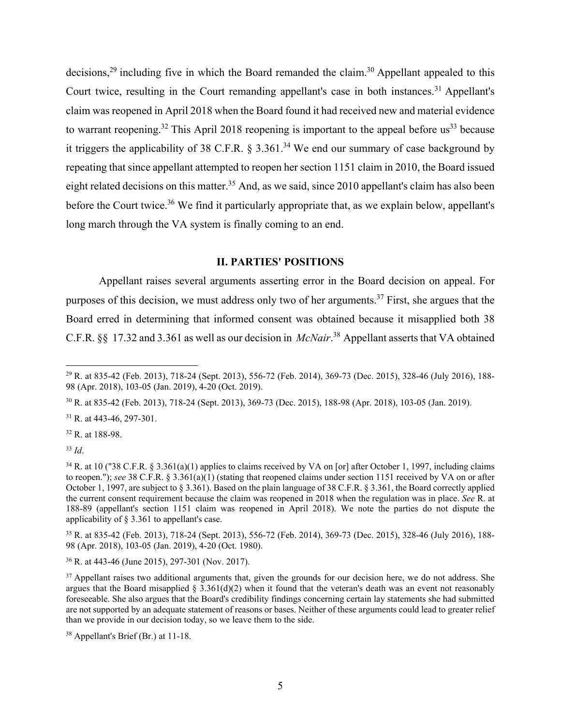decisions,<sup>29</sup> including five in which the Board remanded the claim.<sup>30</sup> Appellant appealed to this Court twice, resulting in the Court remanding appellant's case in both instances.<sup>31</sup> Appellant's claim was reopened in April 2018 when the Board found it had received new and material evidence to warrant reopening.<sup>32</sup> This April 2018 reopening is important to the appeal before us<sup>33</sup> because it triggers the applicability of 38 C.F.R.  $\delta$  3.361.<sup>34</sup> We end our summary of case background by repeating that since appellant attempted to reopen her section 1151 claim in 2010, the Board issued eight related decisions on this matter.<sup>35</sup> And, as we said, since 2010 appellant's claim has also been before the Court twice.<sup>36</sup> We find it particularly appropriate that, as we explain below, appellant's long march through the VA system is finally coming to an end.

### **II. PARTIES' POSITIONS**

Appellant raises several arguments asserting error in the Board decision on appeal. For purposes of this decision, we must address only two of her arguments.<sup>37</sup> First, she argues that the Board erred in determining that informed consent was obtained because it misapplied both 38 C.F.R. §§ 17.32 and 3.361 as well as our decision in *McNair*. 38 Appellant asserts that VA obtained

30 R. at 835-42 (Feb. 2013), 718-24 (Sept. 2013), 369-73 (Dec. 2015), 188-98 (Apr. 2018), 103-05 (Jan. 2019).

<sup>31</sup> R. at 443-46, 297-301.

32 R. at 188-98.

<sup>33</sup> *Id*.

35 R. at 835-42 (Feb. 2013), 718-24 (Sept. 2013), 556-72 (Feb. 2014), 369-73 (Dec. 2015), 328-46 (July 2016), 188- 98 (Apr. 2018), 103-05 (Jan. 2019), 4-20 (Oct. 1980).

36 R. at 443-46 (June 2015), 297-301 (Nov. 2017).

<sup>29</sup> R. at 835-42 (Feb. 2013), 718-24 (Sept. 2013), 556-72 (Feb. 2014), 369-73 (Dec. 2015), 328-46 (July 2016), 188- 98 (Apr. 2018), 103-05 (Jan. 2019), 4-20 (Oct. 2019).

 $34$  R. at 10 ("38 C.F.R. § 3.361(a)(1) applies to claims received by VA on [or] after October 1, 1997, including claims to reopen."); *see* 38 C.F.R. § 3.361(a)(1) (stating that reopened claims under section 1151 received by VA on or after October 1, 1997, are subject to § 3.361). Based on the plain language of 38 C.F.R. § 3.361, the Board correctly applied the current consent requirement because the claim was reopened in 2018 when the regulation was in place. *See* R. at 188-89 (appellant's section 1151 claim was reopened in April 2018). We note the parties do not dispute the applicability of § 3.361 to appellant's case.

<sup>&</sup>lt;sup>37</sup> Appellant raises two additional arguments that, given the grounds for our decision here, we do not address. She argues that the Board misapplied § 3.361(d)(2) when it found that the veteran's death was an event not reasonably foreseeable. She also argues that the Board's credibility findings concerning certain lay statements she had submitted are not supported by an adequate statement of reasons or bases. Neither of these arguments could lead to greater relief than we provide in our decision today, so we leave them to the side.

<sup>38</sup> Appellant's Brief (Br.) at 11-18.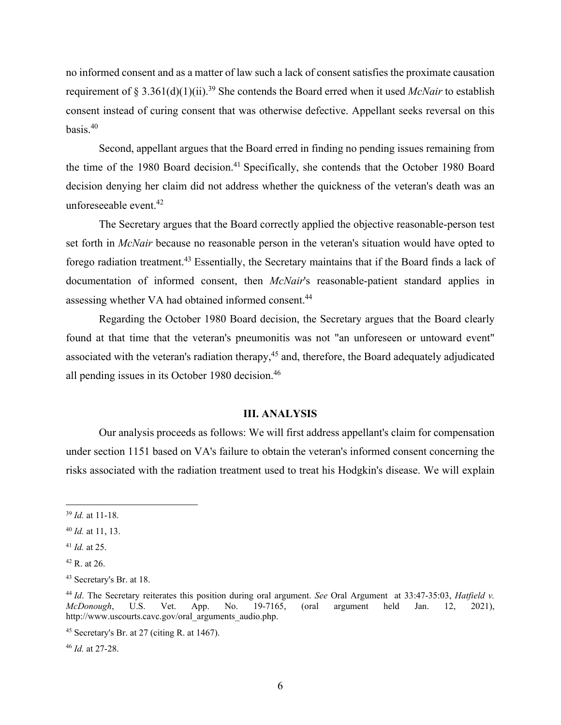no informed consent and as a matter of law such a lack of consent satisfies the proximate causation requirement of § 3.361(d)(1)(ii).39 She contends the Board erred when it used *McNair* to establish consent instead of curing consent that was otherwise defective. Appellant seeks reversal on this basis.40

Second, appellant argues that the Board erred in finding no pending issues remaining from the time of the 1980 Board decision.<sup>41</sup> Specifically, she contends that the October 1980 Board decision denying her claim did not address whether the quickness of the veteran's death was an unforeseeable event.42

The Secretary argues that the Board correctly applied the objective reasonable-person test set forth in *McNair* because no reasonable person in the veteran's situation would have opted to forego radiation treatment.43 Essentially, the Secretary maintains that if the Board finds a lack of documentation of informed consent, then *McNair*'s reasonable-patient standard applies in assessing whether VA had obtained informed consent.44

Regarding the October 1980 Board decision, the Secretary argues that the Board clearly found at that time that the veteran's pneumonitis was not "an unforeseen or untoward event" associated with the veteran's radiation therapy,<sup>45</sup> and, therefore, the Board adequately adjudicated all pending issues in its October 1980 decision.<sup>46</sup>

#### **III. ANALYSIS**

Our analysis proceeds as follows: We will first address appellant's claim for compensation under section 1151 based on VA's failure to obtain the veteran's informed consent concerning the risks associated with the radiation treatment used to treat his Hodgkin's disease. We will explain

<sup>46</sup> *Id.* at 27-28.

<sup>39</sup> *Id.* at 11-18.

<sup>40</sup> *Id.* at 11, 13.

<sup>41</sup> *Id.* at 25.

 $42$  R. at 26.

<sup>43</sup> Secretary's Br. at 18.

<sup>44</sup> *Id*. The Secretary reiterates this position during oral argument. *See* Oral Argument at 33:47-35:03, *Hatfield v. McDonough*, U.S. Vet. App. No. 19-7165, (oral argument held Jan. 12, 2021), http://www.uscourts.cavc.gov/oral\_arguments\_audio.php.

 $45$  Secretary's Br. at 27 (citing R. at 1467).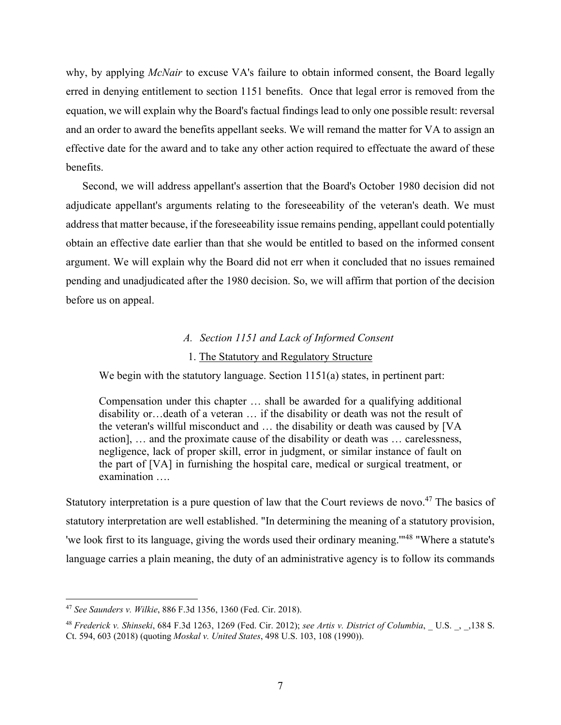why, by applying *McNair* to excuse VA's failure to obtain informed consent, the Board legally erred in denying entitlement to section 1151 benefits. Once that legal error is removed from the equation, we will explain why the Board's factual findings lead to only one possible result: reversal and an order to award the benefits appellant seeks. We will remand the matter for VA to assign an effective date for the award and to take any other action required to effectuate the award of these benefits.

Second, we will address appellant's assertion that the Board's October 1980 decision did not adjudicate appellant's arguments relating to the foreseeability of the veteran's death. We must address that matter because, if the foreseeability issue remains pending, appellant could potentially obtain an effective date earlier than that she would be entitled to based on the informed consent argument. We will explain why the Board did not err when it concluded that no issues remained pending and unadjudicated after the 1980 decision. So, we will affirm that portion of the decision before us on appeal.

#### *A. Section 1151 and Lack of Informed Consent*

#### 1. The Statutory and Regulatory Structure

We begin with the statutory language. Section 1151(a) states, in pertinent part:

Compensation under this chapter … shall be awarded for a qualifying additional disability or…death of a veteran … if the disability or death was not the result of the veteran's willful misconduct and … the disability or death was caused by [VA action], … and the proximate cause of the disability or death was … carelessness, negligence, lack of proper skill, error in judgment, or similar instance of fault on the part of [VA] in furnishing the hospital care, medical or surgical treatment, or examination ….

Statutory interpretation is a pure question of law that the Court reviews de novo.<sup>47</sup> The basics of statutory interpretation are well established. "In determining the meaning of a statutory provision, 'we look first to its language, giving the words used their ordinary meaning.'"48 "Where a statute's language carries a plain meaning, the duty of an administrative agency is to follow its commands

<sup>47</sup> *See Saunders v. Wilkie*, 886 F.3d 1356, 1360 (Fed. Cir. 2018).

<sup>48</sup> *Frederick v. Shinseki*, 684 F.3d 1263, 1269 (Fed. Cir. 2012); *see Artis v. District of Columbia*, \_ U.S. \_, \_,138 S. Ct. 594, 603 (2018) (quoting *Moskal v. United States*, 498 U.S. 103, 108 (1990)).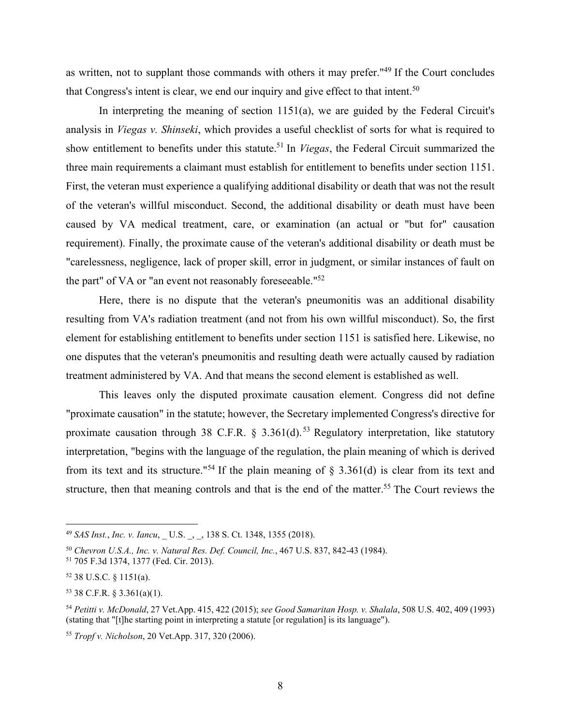as written, not to supplant those commands with others it may prefer."49 If the Court concludes that Congress's intent is clear, we end our inquiry and give effect to that intent.<sup>50</sup>

In interpreting the meaning of section 1151(a), we are guided by the Federal Circuit's analysis in *Viegas v. Shinseki*, which provides a useful checklist of sorts for what is required to show entitlement to benefits under this statute.51 In *Viegas*, the Federal Circuit summarized the three main requirements a claimant must establish for entitlement to benefits under section 1151. First, the veteran must experience a qualifying additional disability or death that was not the result of the veteran's willful misconduct. Second, the additional disability or death must have been caused by VA medical treatment, care, or examination (an actual or "but for" causation requirement). Finally, the proximate cause of the veteran's additional disability or death must be "carelessness, negligence, lack of proper skill, error in judgment, or similar instances of fault on the part" of VA or "an event not reasonably foreseeable."52

Here, there is no dispute that the veteran's pneumonitis was an additional disability resulting from VA's radiation treatment (and not from his own willful misconduct). So, the first element for establishing entitlement to benefits under section 1151 is satisfied here. Likewise, no one disputes that the veteran's pneumonitis and resulting death were actually caused by radiation treatment administered by VA. And that means the second element is established as well.

 This leaves only the disputed proximate causation element. Congress did not define "proximate causation" in the statute; however, the Secretary implemented Congress's directive for proximate causation through 38 C.F.R. § 3.361(d).<sup>53</sup> Regulatory interpretation, like statutory interpretation, "begins with the language of the regulation, the plain meaning of which is derived from its text and its structure."<sup>54</sup> If the plain meaning of  $\S$  3.361(d) is clear from its text and structure, then that meaning controls and that is the end of the matter.<sup>55</sup> The Court reviews the

<sup>49</sup> *SAS Inst., Inc. v. Iancu,* U.S., 138 S. Ct. 1348, 1355 (2018).

<sup>50</sup> *Chevron U.S.A., Inc. v. Natural Res. Def. Council, Inc.*, 467 U.S. 837, 842-43 (1984). 51 705 F.3d 1374, 1377 (Fed. Cir. 2013).

<sup>52 38</sup> U.S.C. § 1151(a).

<sup>53 38</sup> C.F.R. § 3.361(a)(1).

<sup>54</sup> *Petitti v. McDonald*, 27 Vet.App. 415, 422 (2015); *see Good Samaritan Hosp. v. Shalala*, 508 U.S. 402, 409 (1993) (stating that "[t]he starting point in interpreting a statute [or regulation] is its language").

<sup>55</sup> *Tropf v. Nicholson*, 20 Vet.App. 317, 320 (2006).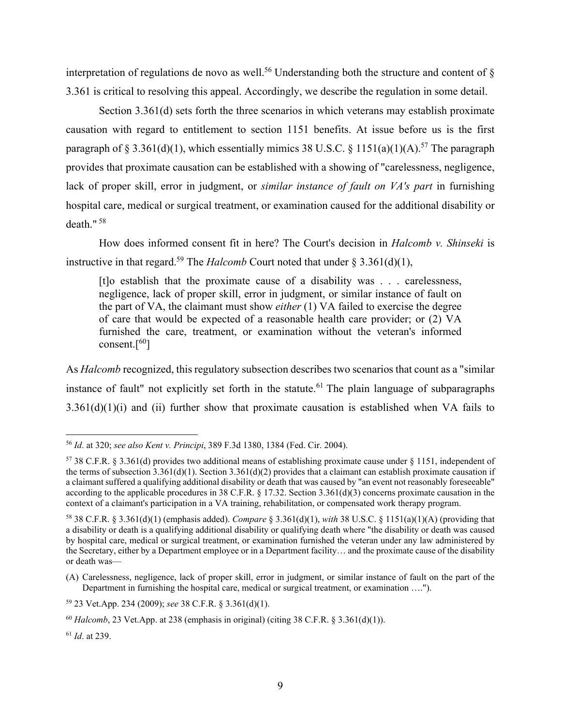interpretation of regulations de novo as well.<sup>56</sup> Understanding both the structure and content of  $\delta$ 3.361 is critical to resolving this appeal. Accordingly, we describe the regulation in some detail.

 Section 3.361(d) sets forth the three scenarios in which veterans may establish proximate causation with regard to entitlement to section 1151 benefits. At issue before us is the first paragraph of § 3.361(d)(1), which essentially mimics 38 U.S.C. § 1151(a)(1)(A).<sup>57</sup> The paragraph provides that proximate causation can be established with a showing of "carelessness, negligence, lack of proper skill, error in judgment, or *similar instance of fault on VA's part* in furnishing hospital care, medical or surgical treatment, or examination caused for the additional disability or death." $58$ 

How does informed consent fit in here? The Court's decision in *Halcomb v. Shinseki* is instructive in that regard.<sup>59</sup> The *Halcomb* Court noted that under  $\S 3.361(d)(1)$ ,

[t]o establish that the proximate cause of a disability was . . . carelessness, negligence, lack of proper skill, error in judgment, or similar instance of fault on the part of VA, the claimant must show *either* (1) VA failed to exercise the degree of care that would be expected of a reasonable health care provider; or (2) VA furnished the care, treatment, or examination without the veteran's informed consent. $[60]$ 

As *Halcomb* recognized, this regulatory subsection describes two scenarios that count as a "similar instance of fault" not explicitly set forth in the statute.<sup>61</sup> The plain language of subparagraphs  $3.361(d)(1)(i)$  and (ii) further show that proximate causation is established when VA fails to

<sup>56</sup> *Id*. at 320; *see also Kent v. Principi*, 389 F.3d 1380, 1384 (Fed. Cir. 2004).

<sup>&</sup>lt;sup>57</sup> 38 C.F.R. § 3.361(d) provides two additional means of establishing proximate cause under § 1151, independent of the terms of subsection  $3.361(d)(1)$ . Section  $3.361(d)(2)$  provides that a claimant can establish proximate causation if a claimant suffered a qualifying additional disability or death that was caused by "an event not reasonably foreseeable" according to the applicable procedures in 38 C.F.R. § 17.32. Section 3.361(d)(3) concerns proximate causation in the context of a claimant's participation in a VA training, rehabilitation, or compensated work therapy program.

<sup>58 38</sup> C.F.R. § 3.361(d)(1) (emphasis added). *Compare* § 3.361(d)(1), *with* 38 U.S.C. § 1151(a)(1)(A) (providing that a disability or death is a qualifying additional disability or qualifying death where "the disability or death was caused by hospital care, medical or surgical treatment, or examination furnished the veteran under any law administered by the Secretary, either by a Department employee or in a Department facility… and the proximate cause of the disability or death was—

<sup>(</sup>A) Carelessness, negligence, lack of proper skill, error in judgment, or similar instance of fault on the part of the Department in furnishing the hospital care, medical or surgical treatment, or examination ….").

<sup>59 23</sup> Vet.App. 234 (2009); *see* 38 C.F.R. § 3.361(d)(1).

<sup>&</sup>lt;sup>60</sup> *Halcomb*, 23 Vet.App. at 238 (emphasis in original) (citing 38 C.F.R. § 3.361(d)(1)).

<sup>61</sup> *Id*. at 239.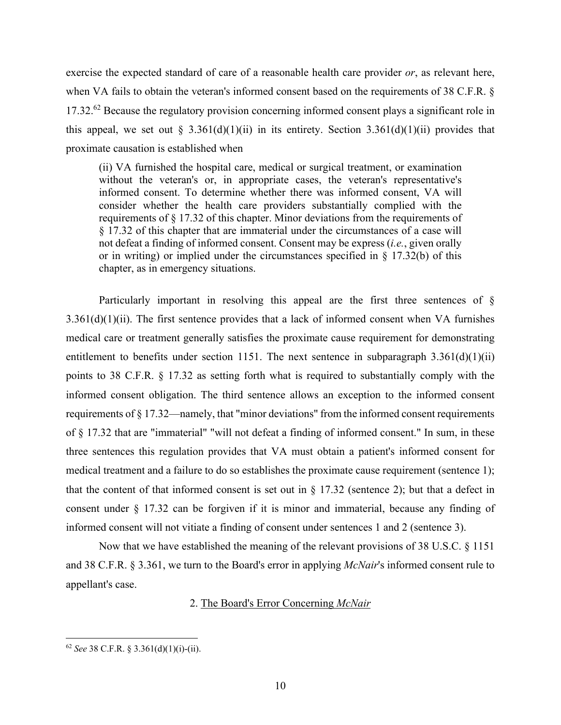exercise the expected standard of care of a reasonable health care provider *or*, as relevant here, when VA fails to obtain the veteran's informed consent based on the requirements of 38 C.F.R. § 17.32.<sup>62</sup> Because the regulatory provision concerning informed consent plays a significant role in this appeal, we set out § 3.361(d)(1)(ii) in its entirety. Section 3.361(d)(1)(ii) provides that proximate causation is established when

(ii) VA furnished the hospital care, medical or surgical treatment, or examination without the veteran's or, in appropriate cases, the veteran's representative's informed consent. To determine whether there was informed consent, VA will consider whether the health care providers substantially complied with the requirements of § 17.32 of this chapter. Minor deviations from the requirements of § 17.32 of this chapter that are immaterial under the circumstances of a case will not defeat a finding of informed consent. Consent may be express (*i.e.*, given orally or in writing) or implied under the circumstances specified in  $\S$  17.32(b) of this chapter, as in emergency situations.

Particularly important in resolving this appeal are the first three sentences of §  $3.361(d)(1)(ii)$ . The first sentence provides that a lack of informed consent when VA furnishes medical care or treatment generally satisfies the proximate cause requirement for demonstrating entitlement to benefits under section 1151. The next sentence in subparagraph  $3.361(d)(1)(ii)$ points to 38 C.F.R. § 17.32 as setting forth what is required to substantially comply with the informed consent obligation. The third sentence allows an exception to the informed consent requirements of § 17.32—namely, that "minor deviations" from the informed consent requirements of § 17.32 that are "immaterial" "will not defeat a finding of informed consent." In sum, in these three sentences this regulation provides that VA must obtain a patient's informed consent for medical treatment and a failure to do so establishes the proximate cause requirement (sentence 1); that the content of that informed consent is set out in  $\S 17.32$  (sentence 2); but that a defect in consent under § 17.32 can be forgiven if it is minor and immaterial, because any finding of informed consent will not vitiate a finding of consent under sentences 1 and 2 (sentence 3).

Now that we have established the meaning of the relevant provisions of 38 U.S.C. § 1151 and 38 C.F.R. § 3.361, we turn to the Board's error in applying *McNair*'s informed consent rule to appellant's case.

2. The Board's Error Concerning *McNair*

 $62$  *See* 38 C.F.R. § 3.361(d)(1)(i)-(ii).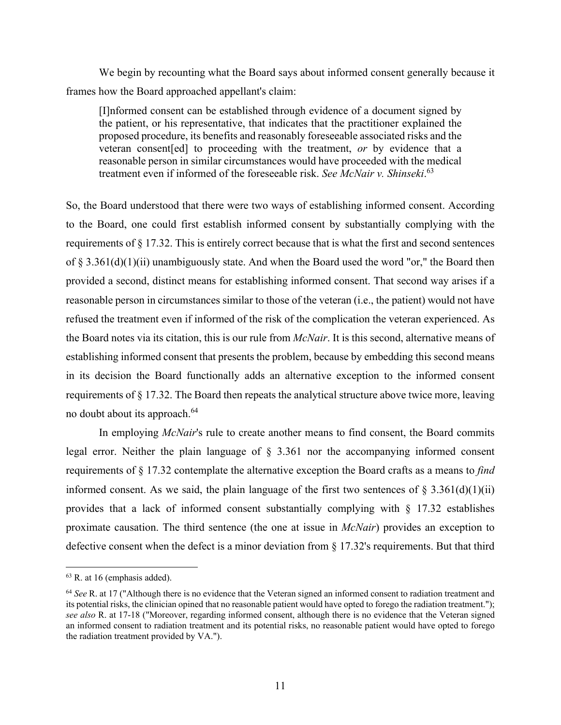We begin by recounting what the Board says about informed consent generally because it frames how the Board approached appellant's claim:

[I]nformed consent can be established through evidence of a document signed by the patient, or his representative, that indicates that the practitioner explained the proposed procedure, its benefits and reasonably foreseeable associated risks and the veteran consent[ed] to proceeding with the treatment, *or* by evidence that a reasonable person in similar circumstances would have proceeded with the medical treatment even if informed of the foreseeable risk. *See McNair v. Shinseki*. 63

So, the Board understood that there were two ways of establishing informed consent. According to the Board, one could first establish informed consent by substantially complying with the requirements of § 17.32. This is entirely correct because that is what the first and second sentences of  $\S$  3.361(d)(1)(ii) unambiguously state. And when the Board used the word "or," the Board then provided a second, distinct means for establishing informed consent. That second way arises if a reasonable person in circumstances similar to those of the veteran (i.e., the patient) would not have refused the treatment even if informed of the risk of the complication the veteran experienced. As the Board notes via its citation, this is our rule from *McNair*. It is this second, alternative means of establishing informed consent that presents the problem, because by embedding this second means in its decision the Board functionally adds an alternative exception to the informed consent requirements of § 17.32. The Board then repeats the analytical structure above twice more, leaving no doubt about its approach.<sup>64</sup>

 In employing *McNair*'s rule to create another means to find consent, the Board commits legal error. Neither the plain language of § 3.361 nor the accompanying informed consent requirements of § 17.32 contemplate the alternative exception the Board crafts as a means to *find*  informed consent. As we said, the plain language of the first two sentences of  $\S 3.361(d)(1)(ii)$ provides that a lack of informed consent substantially complying with § 17.32 establishes proximate causation. The third sentence (the one at issue in *McNair*) provides an exception to defective consent when the defect is a minor deviation from § 17.32's requirements. But that third

 $63$  R. at 16 (emphasis added).

<sup>64</sup> *See* R. at 17 ("Although there is no evidence that the Veteran signed an informed consent to radiation treatment and its potential risks, the clinician opined that no reasonable patient would have opted to forego the radiation treatment."); *see also* R. at 17-18 ("Moreover, regarding informed consent, although there is no evidence that the Veteran signed an informed consent to radiation treatment and its potential risks, no reasonable patient would have opted to forego the radiation treatment provided by VA.").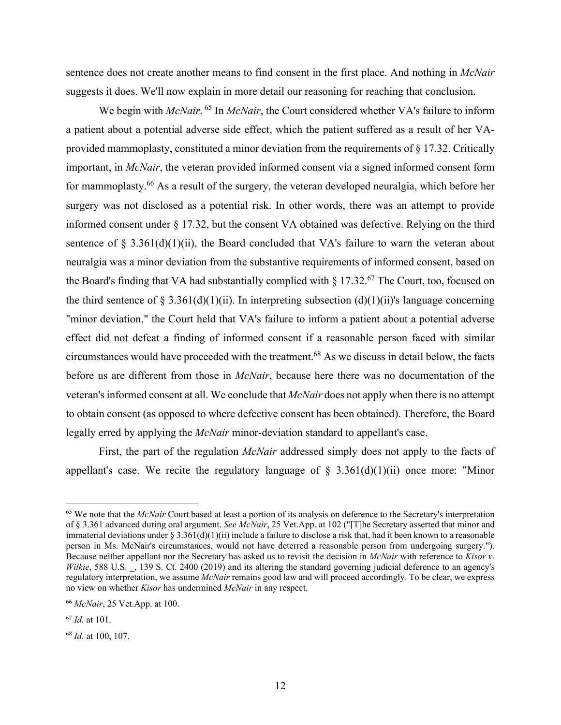sentence does not create another means to find consent in the first place. And nothing in *McNair* suggests it does. We'll now explain in more detail our reasoning for reaching that conclusion.

We begin with *McNair*.<sup>65</sup> In *McNair*, the Court considered whether VA's failure to inform a patient about a potential adverse side effect, which the patient suffered as a result of her VAprovided mammoplasty, constituted a minor deviation from the requirements of § 17.32. Critically important, in *McNair*, the veteran provided informed consent via a signed informed consent form for mammoplasty.<sup>66</sup> As a result of the surgery, the veteran developed neuralgia, which before her surgery was not disclosed as a potential risk. In other words, there was an attempt to provide informed consent under § 17.32, but the consent VA obtained was defective. Relying on the third sentence of  $\S$  3.361(d)(1)(ii), the Board concluded that VA's failure to warn the veteran about neuralgia was a minor deviation from the substantive requirements of informed consent, based on the Board's finding that VA had substantially complied with  $\S 17.32$ .<sup>67</sup> The Court, too, focused on the third sentence of § 3.361(d)(1)(ii). In interpreting subsection (d)(1)(ii)'s language concerning "minor deviation," the Court held that VA's failure to inform a patient about a potential adverse effect did not defeat a finding of informed consent if a reasonable person faced with similar circumstances would have proceeded with the treatment.68 As we discuss in detail below, the facts before us are different from those in *McNair*, because here there was no documentation of the veteran's informed consent at all. We conclude that *McNair* does not apply when there is no attempt to obtain consent (as opposed to where defective consent has been obtained). Therefore, the Board legally erred by applying the *McNair* minor-deviation standard to appellant's case.

 First, the part of the regulation *McNair* addressed simply does not apply to the facts of appellant's case. We recite the regulatory language of  $\S$  3.361(d)(1)(ii) once more: "Minor

<sup>&</sup>lt;sup>65</sup> We note that the *McNair* Court based at least a portion of its analysis on deference to the Secretary's interpretation of § 3.361 advanced during oral argument. *See McNair*, 25 Vet.App. at 102 ("[T]he Secretary asserted that minor and immaterial deviations under  $\S 3.361(d)(1)(ii)$  include a failure to disclose a risk that, had it been known to a reasonable person in Ms. McNair's circumstances, would not have deterred a reasonable person from undergoing surgery."). Because neither appellant nor the Secretary has asked us to revisit the decision in *McNair* with reference to *Kisor v. Wilkie*, 588 U.S., 139 S. Ct. 2400 (2019) and its altering the standard governing judicial deference to an agency's regulatory interpretation, we assume *McNair* remains good law and will proceed accordingly. To be clear, we express no view on whether *Kisor* has undermined *McNair* in any respect.

<sup>66</sup> *McNair*, 25 Vet.App. at 100.

<sup>67</sup> *Id.* at 101.

<sup>68</sup> *Id.* at 100, 107.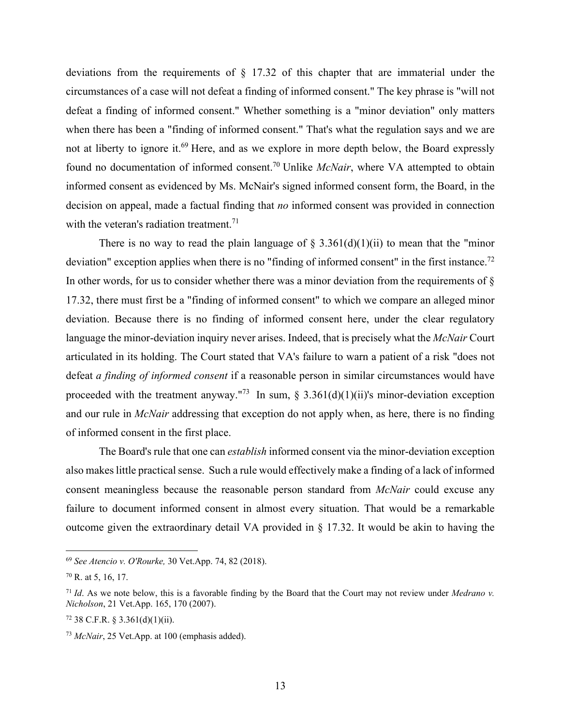deviations from the requirements of § 17.32 of this chapter that are immaterial under the circumstances of a case will not defeat a finding of informed consent." The key phrase is "will not defeat a finding of informed consent." Whether something is a "minor deviation" only matters when there has been a "finding of informed consent." That's what the regulation says and we are not at liberty to ignore it.<sup>69</sup> Here, and as we explore in more depth below, the Board expressly found no documentation of informed consent.70 Unlike *McNair*, where VA attempted to obtain informed consent as evidenced by Ms. McNair's signed informed consent form, the Board, in the decision on appeal, made a factual finding that *no* informed consent was provided in connection with the veteran's radiation treatment.<sup>71</sup>

There is no way to read the plain language of  $\S 3.361(d)(1)(ii)$  to mean that the "minor" deviation" exception applies when there is no "finding of informed consent" in the first instance.<sup>72</sup> In other words, for us to consider whether there was a minor deviation from the requirements of  $\S$ 17.32, there must first be a "finding of informed consent" to which we compare an alleged minor deviation. Because there is no finding of informed consent here, under the clear regulatory language the minor-deviation inquiry never arises. Indeed, that is precisely what the *McNair* Court articulated in its holding. The Court stated that VA's failure to warn a patient of a risk "does not defeat *a finding of informed consent* if a reasonable person in similar circumstances would have proceeded with the treatment anyway."<sup>73</sup> In sum,  $\frac{2}{3}$  3.361(d)(1)(ii)'s minor-deviation exception and our rule in *McNair* addressing that exception do not apply when, as here, there is no finding of informed consent in the first place.

 The Board's rule that one can *establish* informed consent via the minor-deviation exception also makes little practical sense. Such a rule would effectively make a finding of a lack of informed consent meaningless because the reasonable person standard from *McNair* could excuse any failure to document informed consent in almost every situation. That would be a remarkable outcome given the extraordinary detail VA provided in § 17.32. It would be akin to having the

<sup>69</sup> *See Atencio v. O'Rourke,* 30 Vet.App. 74, 82 (2018).

<sup>70</sup> R. at 5, 16, 17.

<sup>71</sup> *Id*. As we note below, this is a favorable finding by the Board that the Court may not review under *Medrano v. Nicholson*, 21 Vet.App. 165, 170 (2007).

 $72$  38 C.F.R. § 3.361(d)(1)(ii).

<sup>73</sup> *McNair*, 25 Vet.App. at 100 (emphasis added).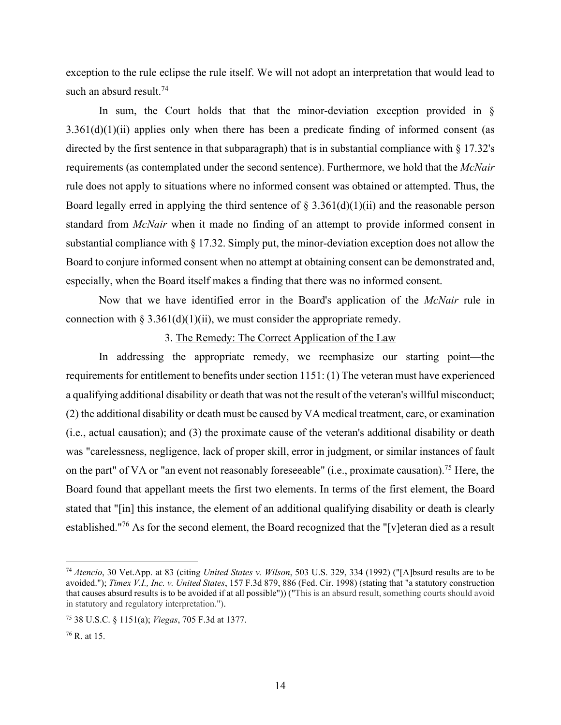exception to the rule eclipse the rule itself. We will not adopt an interpretation that would lead to such an absurd result.<sup>74</sup>

In sum, the Court holds that that the minor-deviation exception provided in  $\S$  $3.361(d)(1)(ii)$  applies only when there has been a predicate finding of informed consent (as directed by the first sentence in that subparagraph) that is in substantial compliance with § 17.32's requirements (as contemplated under the second sentence). Furthermore, we hold that the *McNair*  rule does not apply to situations where no informed consent was obtained or attempted. Thus, the Board legally erred in applying the third sentence of  $\S$  3.361(d)(1)(ii) and the reasonable person standard from *McNair* when it made no finding of an attempt to provide informed consent in substantial compliance with § 17.32. Simply put, the minor-deviation exception does not allow the Board to conjure informed consent when no attempt at obtaining consent can be demonstrated and, especially, when the Board itself makes a finding that there was no informed consent.

 Now that we have identified error in the Board's application of the *McNair* rule in connection with  $\S 3.361(d)(1)(ii)$ , we must consider the appropriate remedy.

#### 3. The Remedy: The Correct Application of the Law

 In addressing the appropriate remedy, we reemphasize our starting point—the requirements for entitlement to benefits under section 1151: (1) The veteran must have experienced a qualifying additional disability or death that was not the result of the veteran's willful misconduct; (2) the additional disability or death must be caused by VA medical treatment, care, or examination (i.e., actual causation); and (3) the proximate cause of the veteran's additional disability or death was "carelessness, negligence, lack of proper skill, error in judgment, or similar instances of fault on the part" of VA or "an event not reasonably foreseeable" (i.e., proximate causation).<sup>75</sup> Here, the Board found that appellant meets the first two elements. In terms of the first element, the Board stated that "[in] this instance, the element of an additional qualifying disability or death is clearly established."76 As for the second element, the Board recognized that the "[v]eteran died as a result

<sup>74</sup> *Atencio*, 30 Vet.App. at 83 (citing *United States v. Wilson*, 503 U.S. 329, 334 (1992) ("[A]bsurd results are to be avoided."); *Timex V.I., Inc. v. United States*, 157 F.3d 879, 886 (Fed. Cir. 1998) (stating that "a statutory construction that causes absurd results is to be avoided if at all possible")) ("This is an absurd result, something courts should avoid in statutory and regulatory interpretation.").

<sup>75 38</sup> U.S.C. § 1151(a); *Viegas*, 705 F.3d at 1377.

<sup>76</sup> R. at 15.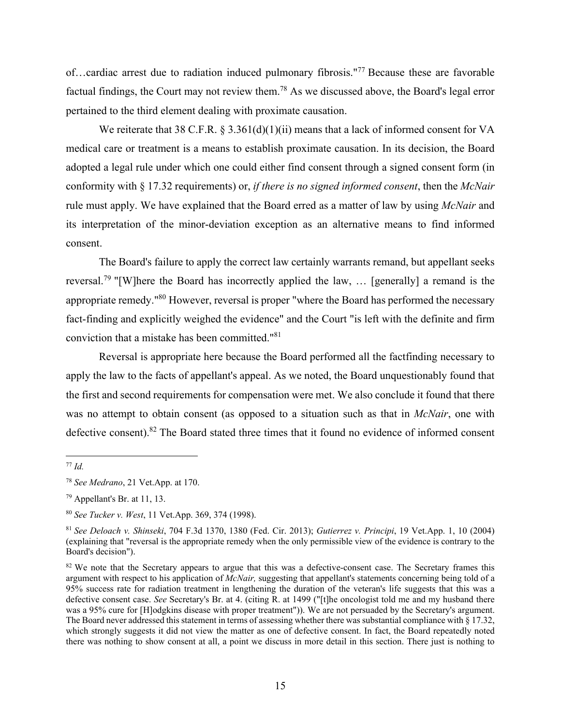of…cardiac arrest due to radiation induced pulmonary fibrosis."77 Because these are favorable factual findings, the Court may not review them.78 As we discussed above, the Board's legal error pertained to the third element dealing with proximate causation.

We reiterate that 38 C.F.R. § 3.361(d)(1)(ii) means that a lack of informed consent for VA medical care or treatment is a means to establish proximate causation. In its decision, the Board adopted a legal rule under which one could either find consent through a signed consent form (in conformity with § 17.32 requirements) or, *if there is no signed informed consent*, then the *McNair*  rule must apply. We have explained that the Board erred as a matter of law by using *McNair* and its interpretation of the minor-deviation exception as an alternative means to find informed consent.

The Board's failure to apply the correct law certainly warrants remand, but appellant seeks reversal.<sup>79</sup> "[W]here the Board has incorrectly applied the law, ... [generally] a remand is the appropriate remedy."80 However, reversal is proper "where the Board has performed the necessary fact-finding and explicitly weighed the evidence" and the Court "is left with the definite and firm conviction that a mistake has been committed."81

Reversal is appropriate here because the Board performed all the factfinding necessary to apply the law to the facts of appellant's appeal. As we noted, the Board unquestionably found that the first and second requirements for compensation were met. We also conclude it found that there was no attempt to obtain consent (as opposed to a situation such as that in *McNair*, one with defective consent).<sup>82</sup> The Board stated three times that it found no evidence of informed consent

<sup>77</sup> *Id.*

<sup>78</sup> *See Medrano*, 21 Vet.App. at 170.

<sup>79</sup> Appellant's Br. at 11, 13.

<sup>80</sup> *See Tucker v. West*, 11 Vet.App. 369, 374 (1998).

<sup>81</sup> *See Deloach v. Shinseki*, 704 F.3d 1370, 1380 (Fed. Cir. 2013); *Gutierrez v. Principi*, 19 Vet.App. 1, 10 (2004) (explaining that "reversal is the appropriate remedy when the only permissible view of the evidence is contrary to the Board's decision").

<sup>&</sup>lt;sup>82</sup> We note that the Secretary appears to argue that this was a defective-consent case. The Secretary frames this argument with respect to his application of *McNair,* suggesting that appellant's statements concerning being told of a 95% success rate for radiation treatment in lengthening the duration of the veteran's life suggests that this was a defective consent case. *See* Secretary's Br. at 4. (citing R. at 1499 ("[t]he oncologist told me and my husband there was a 95% cure for [H]odgkins disease with proper treatment")). We are not persuaded by the Secretary's argument. The Board never addressed this statement in terms of assessing whether there was substantial compliance with § 17.32, which strongly suggests it did not view the matter as one of defective consent. In fact, the Board repeatedly noted there was nothing to show consent at all, a point we discuss in more detail in this section. There just is nothing to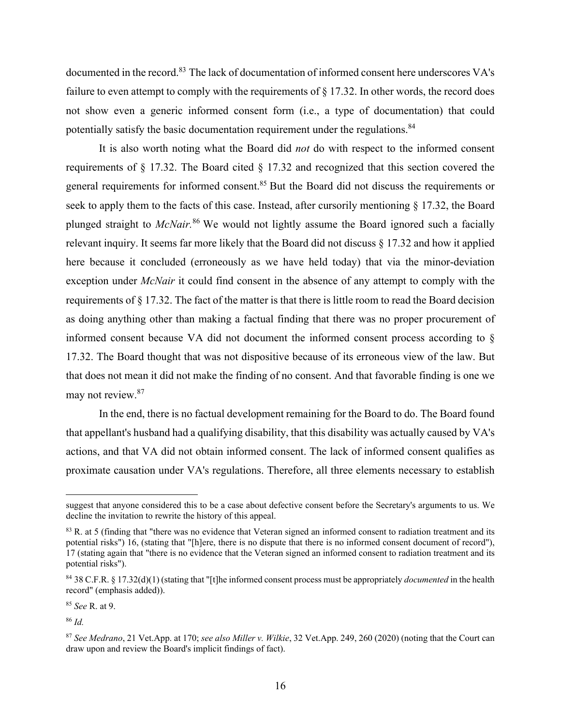documented in the record.<sup>83</sup> The lack of documentation of informed consent here underscores VA's failure to even attempt to comply with the requirements of  $\S$  17.32. In other words, the record does not show even a generic informed consent form (i.e., a type of documentation) that could potentially satisfy the basic documentation requirement under the regulations.<sup>84</sup>

It is also worth noting what the Board did *not* do with respect to the informed consent requirements of § 17.32. The Board cited § 17.32 and recognized that this section covered the general requirements for informed consent.<sup>85</sup> But the Board did not discuss the requirements or seek to apply them to the facts of this case. Instead, after cursorily mentioning § 17.32, the Board plunged straight to *McNair.*<sup>86</sup> We would not lightly assume the Board ignored such a facially relevant inquiry. It seems far more likely that the Board did not discuss § 17.32 and how it applied here because it concluded (erroneously as we have held today) that via the minor-deviation exception under *McNair* it could find consent in the absence of any attempt to comply with the requirements of § 17.32. The fact of the matter is that there is little room to read the Board decision as doing anything other than making a factual finding that there was no proper procurement of informed consent because VA did not document the informed consent process according to § 17.32. The Board thought that was not dispositive because of its erroneous view of the law. But that does not mean it did not make the finding of no consent. And that favorable finding is one we may not review.<sup>87</sup>

In the end, there is no factual development remaining for the Board to do. The Board found that appellant's husband had a qualifying disability, that this disability was actually caused by VA's actions, and that VA did not obtain informed consent. The lack of informed consent qualifies as proximate causation under VA's regulations. Therefore, all three elements necessary to establish

<sup>86</sup> *Id.*

suggest that anyone considered this to be a case about defective consent before the Secretary's arguments to us. We decline the invitation to rewrite the history of this appeal.

<sup>&</sup>lt;sup>83</sup> R. at 5 (finding that "there was no evidence that Veteran signed an informed consent to radiation treatment and its potential risks") 16, (stating that "[h]ere, there is no dispute that there is no informed consent document of record"), 17 (stating again that "there is no evidence that the Veteran signed an informed consent to radiation treatment and its potential risks").

<sup>84 38</sup> C.F.R. § 17.32(d)(1) (stating that "[t]he informed consent process must be appropriately *documented* in the health record" (emphasis added)).

<sup>85</sup> *See* R. at 9.

<sup>87</sup> *See Medrano*, 21 Vet.App. at 170; *see also Miller v. Wilkie*, 32 Vet.App. 249, 260 (2020) (noting that the Court can draw upon and review the Board's implicit findings of fact).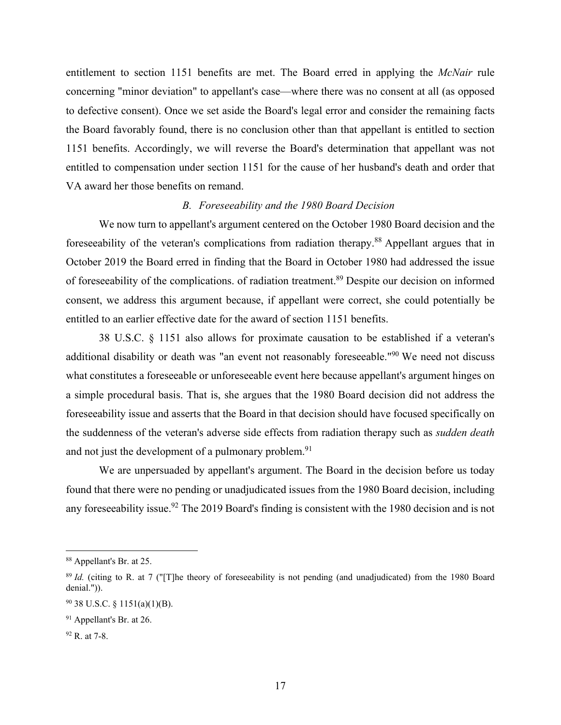entitlement to section 1151 benefits are met. The Board erred in applying the *McNair* rule concerning "minor deviation" to appellant's case—where there was no consent at all (as opposed to defective consent). Once we set aside the Board's legal error and consider the remaining facts the Board favorably found, there is no conclusion other than that appellant is entitled to section 1151 benefits. Accordingly, we will reverse the Board's determination that appellant was not entitled to compensation under section 1151 for the cause of her husband's death and order that VA award her those benefits on remand.

## *B. Foreseeability and the 1980 Board Decision*

 We now turn to appellant's argument centered on the October 1980 Board decision and the foreseeability of the veteran's complications from radiation therapy.88 Appellant argues that in October 2019 the Board erred in finding that the Board in October 1980 had addressed the issue of foreseeability of the complications. of radiation treatment.89 Despite our decision on informed consent, we address this argument because, if appellant were correct, she could potentially be entitled to an earlier effective date for the award of section 1151 benefits.

 38 U.S.C. § 1151 also allows for proximate causation to be established if a veteran's additional disability or death was "an event not reasonably foreseeable."<sup>90</sup> We need not discuss what constitutes a foreseeable or unforeseeable event here because appellant's argument hinges on a simple procedural basis. That is, she argues that the 1980 Board decision did not address the foreseeability issue and asserts that the Board in that decision should have focused specifically on the suddenness of the veteran's adverse side effects from radiation therapy such as *sudden death* and not just the development of a pulmonary problem.<sup>91</sup>

We are unpersuaded by appellant's argument. The Board in the decision before us today found that there were no pending or unadjudicated issues from the 1980 Board decision, including any foreseeability issue.<sup>92</sup> The 2019 Board's finding is consistent with the 1980 decision and is not

<sup>88</sup> Appellant's Br. at 25.

<sup>&</sup>lt;sup>89</sup> *Id.* (citing to R. at 7 ("[T]he theory of foreseeability is not pending (and unadjudicated) from the 1980 Board denial.")).

<sup>90 38</sup> U.S.C. § 1151(a)(1)(B).

<sup>&</sup>lt;sup>91</sup> Appellant's Br. at 26.

<sup>92</sup> R. at 7-8.